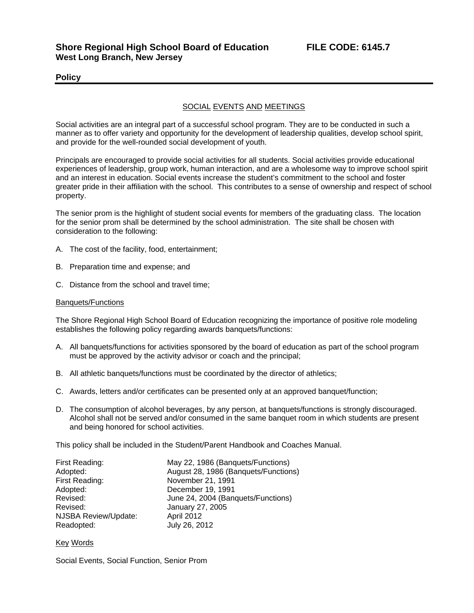## **Policy**

## SOCIAL EVENTS AND MEETINGS

Social activities are an integral part of a successful school program. They are to be conducted in such a manner as to offer variety and opportunity for the development of leadership qualities, develop school spirit, and provide for the well-rounded social development of youth.

Principals are encouraged to provide social activities for all students. Social activities provide educational experiences of leadership, group work, human interaction, and are a wholesome way to improve school spirit and an interest in education. Social events increase the student's commitment to the school and foster greater pride in their affiliation with the school. This contributes to a sense of ownership and respect of school property.

The senior prom is the highlight of student social events for members of the graduating class. The location for the senior prom shall be determined by the school administration. The site shall be chosen with consideration to the following:

- A. The cost of the facility, food, entertainment;
- B. Preparation time and expense; and
- C. Distance from the school and travel time;

## Banquets/Functions

The Shore Regional High School Board of Education recognizing the importance of positive role modeling establishes the following policy regarding awards banquets/functions:

- A. All banquets/functions for activities sponsored by the board of education as part of the school program must be approved by the activity advisor or coach and the principal;
- B. All athletic banquets/functions must be coordinated by the director of athletics;
- C. Awards, letters and/or certificates can be presented only at an approved banquet/function;
- D. The consumption of alcohol beverages, by any person, at banquets/functions is strongly discouraged. Alcohol shall not be served and/or consumed in the same banquet room in which students are present and being honored for school activities.

This policy shall be included in the Student/Parent Handbook and Coaches Manual.

| First Reading:       | May 22, 1986 (Banquets/Functions)    |
|----------------------|--------------------------------------|
| Adopted:             | August 28, 1986 (Banquets/Functions) |
| First Reading:       | November 21, 1991                    |
| Adopted:             | December 19, 1991                    |
| Revised:             | June 24, 2004 (Banquets/Functions)   |
| Revised:             | January 27, 2005                     |
| NJSBA Review/Update: | <b>April 2012</b>                    |
| Readopted:           | July 26, 2012                        |

## Key Words

Social Events, Social Function, Senior Prom